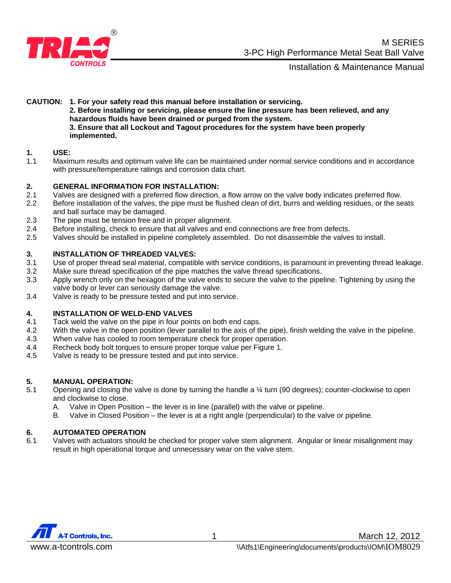

Installation & Maintenance Manual

**CAUTION: 1. For your safety read this manual before installation or servicing. 2. Before installing or servicing, please ensure the line pressure has been relieved, and any hazardous fluids have been drained or purged from the system. 3. Ensure that all Lockout and Tagout procedures for the system have been properly implemented.** 

#### **1. USE:**

1.1 Maximum results and optimum valve life can be maintained under normal service conditions and in accordance with pressure/temperature ratings and corrosion data chart.

#### **2. GENERAL INFORMATION FOR INSTALLATION:**

- 2.1 Valves are designed with a preferred flow direction, a flow arrow on the valve body indicates preferred flow.
- 2.2 Before installation of the valves, the pipe must be flushed clean of dirt, burrs and welding residues, or the seats and ball surface may be damaged.
- 2.3 The pipe must be tension free and in proper alignment.
- 2.4 Before installing, check to ensure that all valves and end connections are free from defects.
- 2.5 Valves should be installed in pipeline completely assembled. Do not disassemble the valves to install.

#### **3. INSTALLATION OF THREADED VALVES:**

- 3.1 Use of proper thread seal material, compatible with service conditions, is paramount in preventing thread leakage.
- 3.2 Make sure thread specification of the pipe matches the valve thread specifications.
- 3.3 Apply wrench only on the hexagon of the valve ends to secure the valve to the pipeline. Tightening by using the valve body or lever can seriously damage the valve.
- 3.4 Valve is ready to be pressure tested and put into service.

#### **4. INSTALLATION OF WELD-END VALVES**

- 4.1 Tack weld the valve on the pipe in four points on both end caps.
- 4.2 With the valve in the open position (lever parallel to the axis of the pipe), finish welding the valve in the pipeline.
- 4.3 When valve has cooled to room temperature check for proper operation.
- 4.4 Recheck body bolt torques to ensure proper torque value per Figure 1.
- 4.5 Valve is ready to be pressure tested and put into service.

#### **5. MANUAL OPERATION:**

- 5.1 Opening and closing the valve is done by turning the handle a ¼ turn (90 degrees); counter-clockwise to open and clockwise to close.
	- A. Valve in Open Position the lever is in line (parallel) with the valve or pipeline.
	- B. Valve in Closed Position the lever is at a right angle (perpendicular) to the valve or pipeline.

#### **6. AUTOMATED OPERATION**

6.1 Valves with actuators should be checked for proper valve stem alignment. Angular or linear misalignment may result in high operational torque and unnecessary wear on the valve stem.

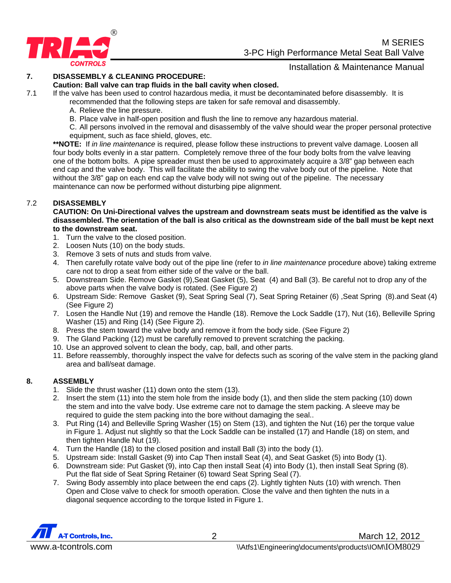

**M** SERIES 3-PC High Performance Metal Seat Ball Valve

## Installation & Maintenance Manual

#### **7. DISASSEMBLY & CLEANING PROCEDURE:**

#### **Caution: Ball valve can trap fluids in the ball cavity when closed.**

7.1 If the valve has been used to control hazardous media, it must be decontaminated before disassembly. It is recommended that the following steps are taken for safe removal and disassembly.

- A. Relieve the line pressure.
- B. Place valve in half-open position and flush the line to remove any hazardous material.
- C. All persons involved in the removal and disassembly of the valve should wear the proper personal protective equipment, such as face shield, gloves, etc.

**\*\*NOTE:** If *in line maintenance* is required, please follow these instructions to prevent valve damage. Loosen all four body bolts evenly in a star pattern. Completely remove three of the four body bolts from the valve leaving one of the bottom bolts. A pipe spreader must then be used to approximately acquire a 3/8" gap between each end cap and the valve body. This will facilitate the ability to swing the valve body out of the pipeline. Note that without the 3/8" gap on each end cap the valve body will not swing out of the pipeline. The necessary maintenance can now be performed without disturbing pipe alignment.

#### 7.2 **DISASSEMBLY**

**CAUTION: On Uni-Directional valves the upstream and downstream seats must be identified as the valve is disassembled. The orientation of the ball is also critical as the downstream side of the ball must be kept next to the downstream seat.** 

- 1. Turn the valve to the closed position.
- 2. Loosen Nuts (10) on the body studs.
- 3. Remove 3 sets of nuts and studs from valve.
- 4. Then carefully rotate valve body out of the pipe line (refer to *in line maintenance* procedure above) taking extreme care not to drop a seat from either side of the valve or the ball.
- 5. Downstream Side. Remove Gasket (9),Seat Gasket (5), Seat (4) and Ball (3). Be careful not to drop any of the above parts when the valve body is rotated. (See Figure 2)
- 6. Upstream Side: Remove Gasket (9), Seat Spring Seal (7), Seat Spring Retainer (6) ,Seat Spring (8).and Seat (4) (See Figure 2)
- 7. Losen the Handle Nut (19) and remove the Handle (18). Remove the Lock Saddle (17), Nut (16), Belleville Spring Washer (15) and Ring (14) (See Figure 2).
- 8. Press the stem toward the valve body and remove it from the body side. (See Figure 2)
- 9. The Gland Packing (12) must be carefully removed to prevent scratching the packing.
- 10. Use an approved solvent to clean the body, cap, ball, and other parts.
- 11. Before reassembly, thoroughly inspect the valve for defects such as scoring of the valve stem in the packing gland area and ball/seat damage.

#### **8. ASSEMBLY**

- 1. Slide the thrust washer (11) down onto the stem (13).
- 2. Insert the stem (11) into the stem hole from the inside body (1), and then slide the stem packing (10) down the stem and into the valve body. Use extreme care not to damage the stem packing. A sleeve may be required to guide the stem packing into the bore without damaging the seal..
- 3. Put Ring (14) and Belleville Spring Washer (15) on Stem (13), and tighten the Nut (16) per the torque value in Figure 1. Adjust nut slightly so that the Lock Saddle can be installed (17) and Handle (18) on stem, and then tighten Handle Nut (19).
- 4. Turn the Handle (18) to the closed position and install Ball (3) into the body (1).
- 5. Upstream side: Install Gasket (9) into Cap Then install Seat (4), and Seat Gasket (5) into Body (1).
- 6. Downstream side: Put Gasket (9), into Cap then install Seat (4) into Body (1), then install Seat Spring (8). Put the flat side of Seat Spring Retainer (6) toward Seat Spring Seal (7).
- 7. Swing Body assembly into place between the end caps (2). Lightly tighten Nuts (10) with wrench. Then Open and Close valve to check for smooth operation. Close the valve and then tighten the nuts in a diagonal sequence according to the torque listed in Figure 1.

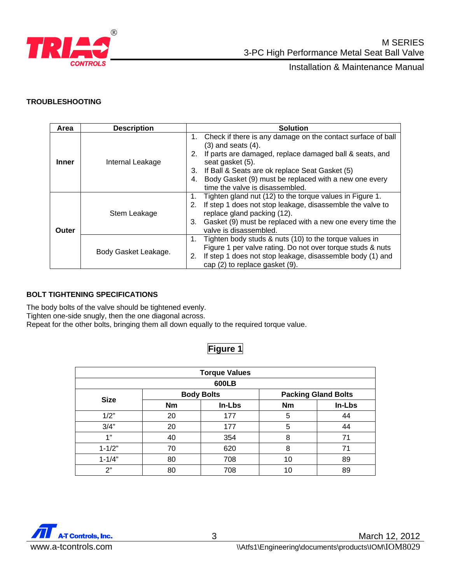

#### **TROUBLESHOOTING**

| Area         | <b>Description</b>   | <b>Solution</b>                                                                                                                                                                                                                                                                                                                          |  |  |
|--------------|----------------------|------------------------------------------------------------------------------------------------------------------------------------------------------------------------------------------------------------------------------------------------------------------------------------------------------------------------------------------|--|--|
| Inner        | Internal Leakage     | Check if there is any damage on the contact surface of ball<br>1.<br>$(3)$ and seats $(4)$ .<br>If parts are damaged, replace damaged ball & seats, and<br>2.<br>seat gasket (5).<br>3. If Ball & Seats are ok replace Seat Gasket (5)<br>Body Gasket (9) must be replaced with a new one every<br>4.<br>time the valve is disassembled. |  |  |
| <b>Outer</b> | Stem Leakage         | Tighten gland nut (12) to the torque values in Figure 1.<br>1.<br>If step 1 does not stop leakage, disassemble the valve to<br>2.<br>replace gland packing (12).<br>Gasket (9) must be replaced with a new one every time the<br>3.<br>valve is disassembled.                                                                            |  |  |
|              | Body Gasket Leakage. | Tighten body studs & nuts (10) to the torque values in<br>1.<br>Figure 1 per valve rating. Do not over torque studs & nuts<br>If step 1 does not stop leakage, disassemble body (1) and<br>2.<br>cap (2) to replace gasket (9).                                                                                                          |  |  |

#### **BOLT TIGHTENING SPECIFICATIONS**

The body bolts of the valve should be tightened evenly.

Tighten one-side snugly, then the one diagonal across.

Repeat for the other bolts, bringing them all down equally to the required torque value.

### **Figure 1**

| <b>Torque Values</b> |                   |        |                            |        |  |  |  |  |
|----------------------|-------------------|--------|----------------------------|--------|--|--|--|--|
| 600LB                |                   |        |                            |        |  |  |  |  |
| <b>Size</b>          | <b>Body Bolts</b> |        | <b>Packing Gland Bolts</b> |        |  |  |  |  |
|                      | <b>Nm</b>         | In-Lbs | <b>Nm</b>                  | In-Lbs |  |  |  |  |
| 1/2"                 | 20                | 177    | 5                          | 44     |  |  |  |  |
| 3/4"                 | 20                | 177    | 5                          | 44     |  |  |  |  |
| 1"                   | 40                | 354    | 8                          | 71     |  |  |  |  |
| $1 - 1/2"$           | 70                | 620    | 8                          | 71     |  |  |  |  |
| $1 - 1/4"$           | 80                | 708    | 10                         | 89     |  |  |  |  |
| 2"                   | 80                | 708    | 10                         | 89     |  |  |  |  |

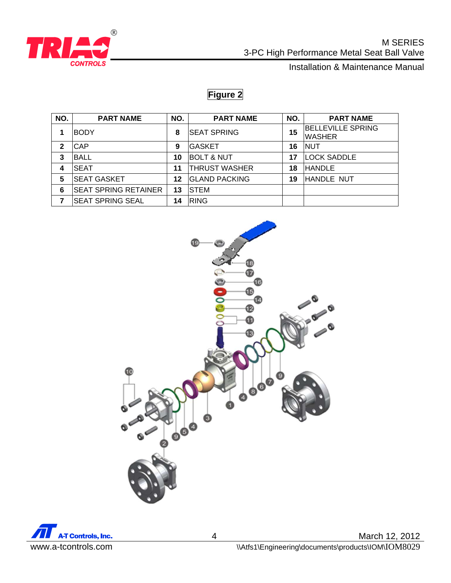

 M SERIES 3-PC High Performance Metal Seat Ball Valve

**CONTROLS CONTROLS** 

# **Figure 2**

| NO. | <b>PART NAME</b>            | NO. | <b>PART NAME</b>      | NO. | <b>PART NAME</b>                          |
|-----|-----------------------------|-----|-----------------------|-----|-------------------------------------------|
|     | <b>BODY</b>                 | 8   | <b>SEAT SPRING</b>    | 15  | <b>BELLEVILLE SPRING</b><br><b>WASHER</b> |
| 2   | <b>CAP</b>                  | 9   | <b>IGASKET</b>        | 16  | <b>NUT</b>                                |
| 3   | <b>BALL</b>                 | 10  | <b>BOLT &amp; NUT</b> | 17  | <b>LOCK SADDLE</b>                        |
| 4   | <b>SEAT</b>                 | 11  | <b>THRUST WASHER</b>  | 18  | <b>HANDLE</b>                             |
| 5   | <b>SEAT GASKET</b>          | 12  | <b>GLAND PACKING</b>  | 19  | <b>HANDLE NUT</b>                         |
| 6   | <b>SEAT SPRING RETAINER</b> | 13  | <b>STEM</b>           |     |                                           |
|     | <b>SEAT SPRING SEAL</b>     | 14  | <b>RING</b>           |     |                                           |